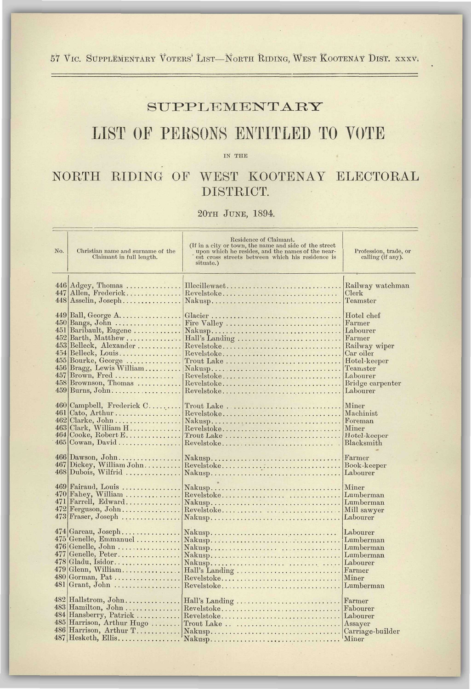57 Vic. SUPPLEMENTARY VOTERS' LIST—NORTH RIDING, WEST KOOTENAY DIST. xxxv.

## SUPPLEMENTARY

## LIST OF PERSONS ENTITLED TO VOTE

IN THE

## NORTH RIDING OF WEST KOOTENAY ELECTORAL DISTRICT.

20TH JUNE, 1894.

| No. | Christian name and surname of the<br>Claimant in full length.  | Residence of Claimant.<br>(If in a city or town, the name and side of the street<br>upon which he resides, and the names of the near-<br>est cross streets between which his residence is<br>situate.) | Profession, trade, or<br>calling (if any). |
|-----|----------------------------------------------------------------|--------------------------------------------------------------------------------------------------------------------------------------------------------------------------------------------------------|--------------------------------------------|
| 447 | $446$ Adgey, Thomas                                            | Illecillewaet                                                                                                                                                                                          | Railway watchman                           |
|     | Allen, Frederick                                               | Revelstoke                                                                                                                                                                                             | Clerk                                      |
|     | $448$ Asselin, Joseph                                          |                                                                                                                                                                                                        | Teamster                                   |
| 451 | $449$ Ball, George A                                           |                                                                                                                                                                                                        | Hotel chef                                 |
|     | 450 Bangs, John                                                | Fire Valley                                                                                                                                                                                            | Farmer                                     |
|     | Baribault, Eugene                                              |                                                                                                                                                                                                        | Labourer                                   |
|     | $452$ Barth, Matthew                                           | Hall's Landing                                                                                                                                                                                         | Farmer                                     |
|     | 453 Belleck, Alexander                                         | Revelstoke                                                                                                                                                                                             | Railway wiper                              |
|     | $454$  Belleck, Louis                                          |                                                                                                                                                                                                        | Car oiler                                  |
|     | 455 Bourke, George                                             | $T_{\text{rout}}$ Lake $\ldots \ldots \ldots \ldots \ldots \ldots \ldots \ldots \ldots \ldots$                                                                                                         | Hotel-keeper                               |
|     | 456 Bragg, Lewis William                                       | Nakusp                                                                                                                                                                                                 | Teamster                                   |
|     | 457 Brown, Fred                                                | Revelstoke                                                                                                                                                                                             | Labourer                                   |
|     | 458 Brownson, Thomas                                           | Revelstoke                                                                                                                                                                                             | Bridge carpenter                           |
|     | $459$  Burns, John                                             | Revelstoke                                                                                                                                                                                             | Labourer                                   |
|     | 460 Campbell, Frederick C                                      | $\text{Trout Lake} \dots \dots \dots \dots \dots \dots \dots \dots \dots \dots$                                                                                                                        | Miner                                      |
| 461 | Cato, Arthur                                                   | Revelstoke                                                                                                                                                                                             | Machinist                                  |
|     | $462$ Clarke, John                                             | Nakusp                                                                                                                                                                                                 | Foreman                                    |
|     | $463$ Clark, William H                                         | Revelstoke                                                                                                                                                                                             | Miner                                      |
|     | 464 Cooke, Robert E.<br>465 Cowan, David<br>$466$ Dawson, John | $\operatorname{Trout}\operatorname{Take}\nolimits \ldots \ldots \ldots \ldots \ldots \ldots \ldots \ldots \ldots$<br>$Revelstoke, \ldots, \ldots, \ldots, \ldots, \ldots, \ldots, \ldots, \ldots,$     | Hotel-keeper<br>Blacksmith<br>Farmer       |
|     | 467 Dickey, William John<br>468 Dubois, Wilfrid                | Revelstoke                                                                                                                                                                                             | Book-keeper<br>Labourer                    |
|     | 469 Fairaud, Louis                                             |                                                                                                                                                                                                        | Miner                                      |
|     | 470 Fahey, William                                             | Revelstoke                                                                                                                                                                                             | Lumberman                                  |
|     | 471 Farrell, Edward                                            |                                                                                                                                                                                                        | Lumberman                                  |
|     | 472 Ferguson, John                                             | Revelstoke                                                                                                                                                                                             | Mill sawyer                                |
|     | $473$ Fraser, Joseph                                           |                                                                                                                                                                                                        | Labourer                                   |
|     | 474 Gareau, Joseph                                             |                                                                                                                                                                                                        | Labourer                                   |
|     | 475 Genelle, Emmanuel                                          |                                                                                                                                                                                                        | Lumberman                                  |
|     | 476 Genelle, John                                              |                                                                                                                                                                                                        | Lumberman                                  |
|     | 477 Genelle, Peter                                             | Nakusp                                                                                                                                                                                                 | Lumberman                                  |
|     | 478 Gladu, Isidor                                              |                                                                                                                                                                                                        | Labourer                                   |
|     | 479 Glenn, William                                             |                                                                                                                                                                                                        | Farmer                                     |
|     | 480 Gorman, Pat                                                | Revelstoke                                                                                                                                                                                             | Miner                                      |
|     | 481 Grant, John                                                | $Revelstoke, , , , , , , , , , , ,$                                                                                                                                                                    | Lumberman                                  |
|     | 482 Hallstrom, John                                            | Hall's Landing                                                                                                                                                                                         | Farmer                                     |
|     | $483$ Hamilton, John                                           | Revelstoke                                                                                                                                                                                             | Fabourer                                   |
|     | 484 Hansberry, Patrick                                         | Revelstoke                                                                                                                                                                                             | Labourer                                   |
|     | 485 Harrison, Arthur Hugo                                      | Trout Lake                                                                                                                                                                                             | Assayer                                    |
|     | 486 Harrison, Arthur T                                         |                                                                                                                                                                                                        | Carriage-builder                           |
|     | $487$ Hesketh, Ellis                                           |                                                                                                                                                                                                        | Miner                                      |